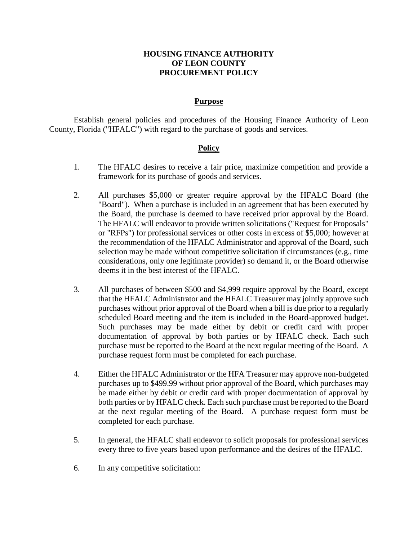## **HOUSING FINANCE AUTHORITY OF LEON COUNTY PROCUREMENT POLICY**

## **Purpose**

Establish general policies and procedures of the Housing Finance Authority of Leon County, Florida ("HFALC") with regard to the purchase of goods and services.

## **Policy**

- 1. The HFALC desires to receive a fair price, maximize competition and provide a framework for its purchase of goods and services.
- 2. All purchases \$5,000 or greater require approval by the HFALC Board (the "Board"). When a purchase is included in an agreement that has been executed by the Board, the purchase is deemed to have received prior approval by the Board. The HFALC will endeavor to provide written solicitations ("Request for Proposals" or "RFPs") for professional services or other costs in excess of \$5,000; however at the recommendation of the HFALC Administrator and approval of the Board, such selection may be made without competitive solicitation if circumstances (e.g., time considerations, only one legitimate provider) so demand it, or the Board otherwise deems it in the best interest of the HFALC.
- 3. All purchases of between \$500 and \$4,999 require approval by the Board, except that the HFALC Administrator and the HFALC Treasurer may jointly approve such purchases without prior approval of the Board when a bill is due prior to a regularly scheduled Board meeting and the item is included in the Board-approved budget. Such purchases may be made either by debit or credit card with proper documentation of approval by both parties or by HFALC check. Each such purchase must be reported to the Board at the next regular meeting of the Board. A purchase request form must be completed for each purchase.
- 4. Either the HFALC Administrator or the HFA Treasurer may approve non-budgeted purchases up to \$499.99 without prior approval of the Board, which purchases may be made either by debit or credit card with proper documentation of approval by both parties or by HFALC check. Each such purchase must be reported to the Board at the next regular meeting of the Board. A purchase request form must be completed for each purchase.
- 5. In general, the HFALC shall endeavor to solicit proposals for professional services every three to five years based upon performance and the desires of the HFALC.
- 6. In any competitive solicitation: